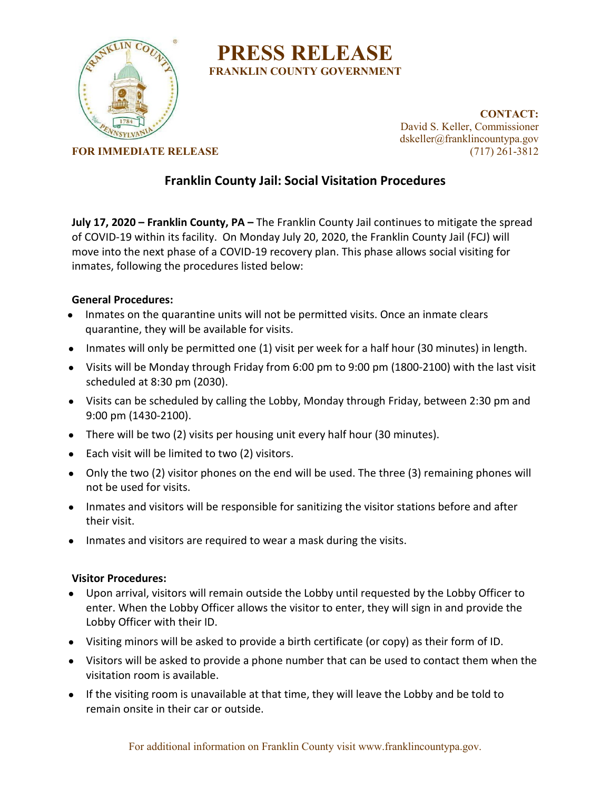

# **PRESS RELEASE FRANKLIN COUNTY GOVERNMENT**

**CONTACT:** David S. Keller, Commissioner dskeller@franklincountypa.gov

**FOR IMMEDIATE RELEASE** (717) 261-3812

## **Franklin County Jail: Social Visitation Procedures**

**July 17, 2020 – Franklin County, PA –** The Franklin County Jail continues to mitigate the spread of COVID-19 within its facility. On Monday July 20, 2020, the Franklin County Jail (FCJ) will move into the next phase of a COVID-19 recovery plan. This phase allows social visiting for inmates, following the procedures listed below:

#### **General Procedures:**

- Inmates on the quarantine units will not be permitted visits. Once an inmate clears quarantine, they will be available for visits.
- Inmates will only be permitted one (1) visit per week for a half hour (30 minutes) in length.
- Visits will be Monday through Friday from 6:00 pm to 9:00 pm (1800-2100) with the last visit scheduled at 8:30 pm (2030).
- Visits can be scheduled by calling the Lobby, Monday through Friday, between 2:30 pm and 9:00 pm (1430-2100).
- There will be two (2) visits per housing unit every half hour (30 minutes).
- Each visit will be limited to two (2) visitors.
- Only the two (2) visitor phones on the end will be used. The three (3) remaining phones will not be used for visits.
- Inmates and visitors will be responsible for sanitizing the visitor stations before and after their visit.
- Inmates and visitors are required to wear a mask during the visits.

### **Visitor Procedures:**

- Upon arrival, visitors will remain outside the Lobby until requested by the Lobby Officer to enter. When the Lobby Officer allows the visitor to enter, they will sign in and provide the Lobby Officer with their ID.
- Visiting minors will be asked to provide a birth certificate (or copy) as their form of ID.
- Visitors will be asked to provide a phone number that can be used to contact them when the visitation room is available.
- If the visiting room is unavailable at that time, they will leave the Lobby and be told to remain onsite in their car or outside.